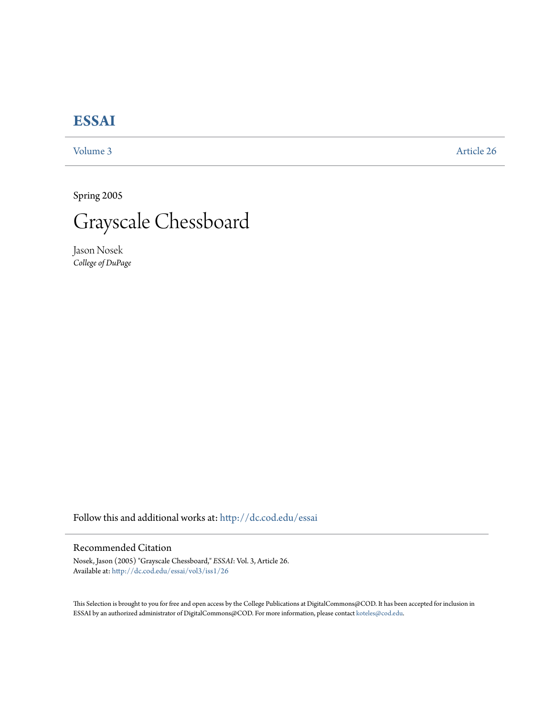# **[ESSAI](http://dc.cod.edu/essai?utm_source=dc.cod.edu%2Fessai%2Fvol3%2Fiss1%2F26&utm_medium=PDF&utm_campaign=PDFCoverPages)**

[Volume 3](http://dc.cod.edu/essai/vol3?utm_source=dc.cod.edu%2Fessai%2Fvol3%2Fiss1%2F26&utm_medium=PDF&utm_campaign=PDFCoverPages) [Article 26](http://dc.cod.edu/essai/vol3/iss1/26?utm_source=dc.cod.edu%2Fessai%2Fvol3%2Fiss1%2F26&utm_medium=PDF&utm_campaign=PDFCoverPages)

Spring 2005



Jason Nosek *College of DuPage*

Follow this and additional works at: [http://dc.cod.edu/essai](http://dc.cod.edu/essai?utm_source=dc.cod.edu%2Fessai%2Fvol3%2Fiss1%2F26&utm_medium=PDF&utm_campaign=PDFCoverPages)

## Recommended Citation

Nosek, Jason (2005) "Grayscale Chessboard," *ESSAI*: Vol. 3, Article 26. Available at: [http://dc.cod.edu/essai/vol3/iss1/26](http://dc.cod.edu/essai/vol3/iss1/26?utm_source=dc.cod.edu%2Fessai%2Fvol3%2Fiss1%2F26&utm_medium=PDF&utm_campaign=PDFCoverPages)

This Selection is brought to you for free and open access by the College Publications at DigitalCommons@COD. It has been accepted for inclusion in ESSAI by an authorized administrator of DigitalCommons@COD. For more information, please contact [koteles@cod.edu](mailto:koteles@cod.edu).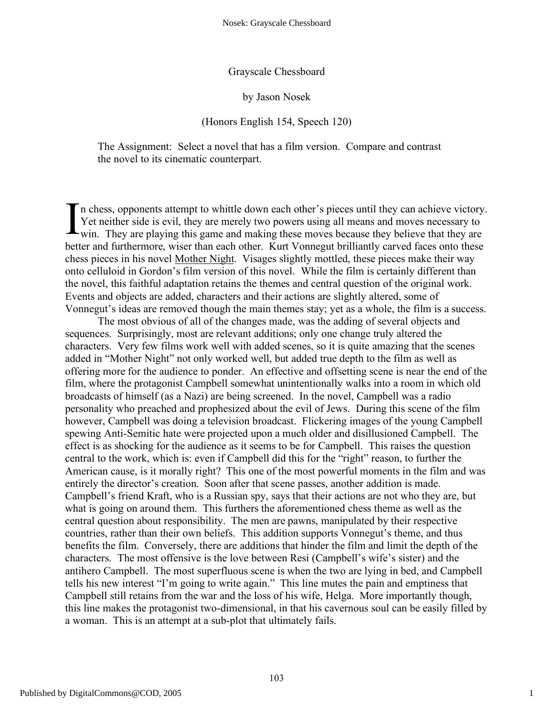### Grayscale Chessboard

#### by Jason Nosek

## (Honors English 154, Speech 120)

The Assignment: Select a novel that has a film version. Compare and contrast the novel to its cinematic counterpart.

n chess, opponents attempt to whittle down each other's pieces until they can achieve victory. Yet neither side is evil, they are merely two powers using all means and moves necessary to In chess, opponents attempt to whittle down each other's pieces until they can achieve victory<br>
Yet neither side is evil, they are merely two powers using all means and moves necessary to<br>
win. They are playing this game a better and furthermore, wiser than each other. Kurt Vonnegut brilliantly carved faces onto these chess pieces in his novel Mother Night. Visages slightly mottled, these pieces make their way onto celluloid in Gordon's film version of this novel. While the film is certainly different than the novel, this faithful adaptation retains the themes and central question of the original work. Events and objects are added, characters and their actions are slightly altered, some of Vonnegut's ideas are removed though the main themes stay; yet as a whole, the film is a success.

The most obvious of all of the changes made, was the adding of several objects and sequences. Surprisingly, most are relevant additions; only one change truly altered the characters. Very few films work well with added scenes, so it is quite amazing that the scenes added in "Mother Night" not only worked well, but added true depth to the film as well as offering more for the audience to ponder. An effective and offsetting scene is near the end of the film, where the protagonist Campbell somewhat unintentionally walks into a room in which old broadcasts of himself (as a Nazi) are being screened. In the novel, Campbell was a radio personality who preached and prophesized about the evil of Jews. During this scene of the film however, Campbell was doing a television broadcast. Flickering images of the young Campbell spewing Anti-Semitic hate were projected upon a much older and disillusioned Campbell. The effect is as shocking for the audience as it seems to be for Campbell. This raises the question central to the work, which is: even if Campbell did this for the "right" reason, to further the American cause, is it morally right? This one of the most powerful moments in the film and was entirely the director's creation. Soon after that scene passes, another addition is made. Campbell's friend Kraft, who is a Russian spy, says that their actions are not who they are, but what is going on around them. This furthers the aforementioned chess theme as well as the central question about responsibility. The men are pawns, manipulated by their respective countries, rather than their own beliefs. This addition supports Vonnegut's theme, and thus benefits the film. Conversely, there are additions that hinder the film and limit the depth of the characters. The most offensive is the love between Resi (Campbell's wife's sister) and the antihero Campbell. The most superfluous scene is when the two are lying in bed, and Campbell tells his new interest "I'm going to write again." This line mutes the pain and emptiness that Campbell still retains from the war and the loss of his wife, Helga. More importantly though, this line makes the protagonist two-dimensional, in that his cavernous soul can be easily filled by a woman. This is an attempt at a sub-plot that ultimately fails.

1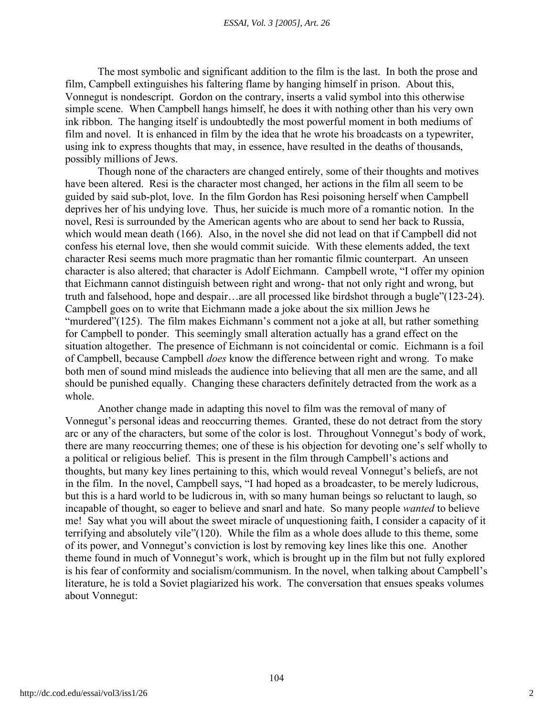The most symbolic and significant addition to the film is the last. In both the prose and film, Campbell extinguishes his faltering flame by hanging himself in prison. About this, Vonnegut is nondescript. Gordon on the contrary, inserts a valid symbol into this otherwise simple scene. When Campbell hangs himself, he does it with nothing other than his very own ink ribbon. The hanging itself is undoubtedly the most powerful moment in both mediums of film and novel. It is enhanced in film by the idea that he wrote his broadcasts on a typewriter, using ink to express thoughts that may, in essence, have resulted in the deaths of thousands, possibly millions of Jews.

Though none of the characters are changed entirely, some of their thoughts and motives have been altered. Resi is the character most changed, her actions in the film all seem to be guided by said sub-plot, love. In the film Gordon has Resi poisoning herself when Campbell deprives her of his undying love. Thus, her suicide is much more of a romantic notion. In the novel, Resi is surrounded by the American agents who are about to send her back to Russia, which would mean death (166). Also, in the novel she did not lead on that if Campbell did not confess his eternal love, then she would commit suicide. With these elements added, the text character Resi seems much more pragmatic than her romantic filmic counterpart. An unseen character is also altered; that character is Adolf Eichmann. Campbell wrote, "I offer my opinion that Eichmann cannot distinguish between right and wrong- that not only right and wrong, but truth and falsehood, hope and despair…are all processed like birdshot through a bugle"(123-24). Campbell goes on to write that Eichmann made a joke about the six million Jews he "murdered"(125). The film makes Eichmann's comment not a joke at all, but rather something for Campbell to ponder. This seemingly small alteration actually has a grand effect on the situation altogether. The presence of Eichmann is not coincidental or comic. Eichmann is a foil of Campbell, because Campbell *does* know the difference between right and wrong. To make both men of sound mind misleads the audience into believing that all men are the same, and all should be punished equally. Changing these characters definitely detracted from the work as a whole.

Another change made in adapting this novel to film was the removal of many of Vonnegut's personal ideas and reoccurring themes. Granted, these do not detract from the story arc or any of the characters, but some of the color is lost. Throughout Vonnegut's body of work, there are many reoccurring themes; one of these is his objection for devoting one's self wholly to a political or religious belief. This is present in the film through Campbell's actions and thoughts, but many key lines pertaining to this, which would reveal Vonnegut's beliefs, are not in the film. In the novel, Campbell says, "I had hoped as a broadcaster, to be merely ludicrous, but this is a hard world to be ludicrous in, with so many human beings so reluctant to laugh, so incapable of thought, so eager to believe and snarl and hate. So many people *wanted* to believe me! Say what you will about the sweet miracle of unquestioning faith, I consider a capacity of it terrifying and absolutely vile"(120). While the film as a whole does allude to this theme, some of its power, and Vonnegut's conviction is lost by removing key lines like this one. Another theme found in much of Vonnegut's work, which is brought up in the film but not fully explored is his fear of conformity and socialism/communism. In the novel, when talking about Campbell's literature, he is told a Soviet plagiarized his work. The conversation that ensues speaks volumes about Vonnegut: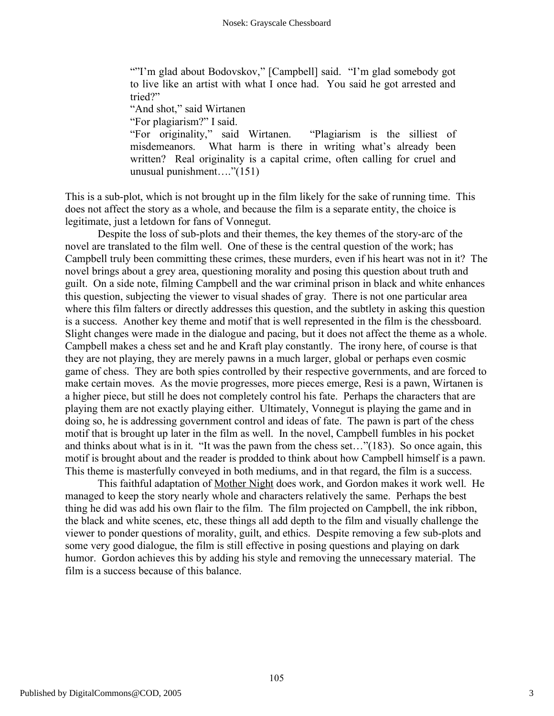""I'm glad about Bodovskov," [Campbell] said. "I'm glad somebody got to live like an artist with what I once had. You said he got arrested and tried?"

"And shot," said Wirtanen

"For plagiarism?" I said.

"For originality," said Wirtanen. "Plagiarism is the silliest of misdemeanors. What harm is there in writing what's already been written? Real originality is a capital crime, often calling for cruel and unusual punishment…."(151)

This is a sub-plot, which is not brought up in the film likely for the sake of running time. This does not affect the story as a whole, and because the film is a separate entity, the choice is legitimate, just a letdown for fans of Vonnegut.

Despite the loss of sub-plots and their themes, the key themes of the story-arc of the novel are translated to the film well. One of these is the central question of the work; has Campbell truly been committing these crimes, these murders, even if his heart was not in it? The novel brings about a grey area, questioning morality and posing this question about truth and guilt. On a side note, filming Campbell and the war criminal prison in black and white enhances this question, subjecting the viewer to visual shades of gray. There is not one particular area where this film falters or directly addresses this question, and the subtlety in asking this question is a success. Another key theme and motif that is well represented in the film is the chessboard. Slight changes were made in the dialogue and pacing, but it does not affect the theme as a whole. Campbell makes a chess set and he and Kraft play constantly. The irony here, of course is that they are not playing, they are merely pawns in a much larger, global or perhaps even cosmic game of chess. They are both spies controlled by their respective governments, and are forced to make certain moves. As the movie progresses, more pieces emerge, Resi is a pawn, Wirtanen is a higher piece, but still he does not completely control his fate. Perhaps the characters that are playing them are not exactly playing either. Ultimately, Vonnegut is playing the game and in doing so, he is addressing government control and ideas of fate. The pawn is part of the chess motif that is brought up later in the film as well. In the novel, Campbell fumbles in his pocket and thinks about what is in it. "It was the pawn from the chess set…"(183). So once again, this motif is brought about and the reader is prodded to think about how Campbell himself is a pawn. This theme is masterfully conveyed in both mediums, and in that regard, the film is a success.

This faithful adaptation of Mother Night does work, and Gordon makes it work well. He managed to keep the story nearly whole and characters relatively the same. Perhaps the best thing he did was add his own flair to the film. The film projected on Campbell, the ink ribbon, the black and white scenes, etc, these things all add depth to the film and visually challenge the viewer to ponder questions of morality, guilt, and ethics. Despite removing a few sub-plots and some very good dialogue, the film is still effective in posing questions and playing on dark humor. Gordon achieves this by adding his style and removing the unnecessary material. The film is a success because of this balance.